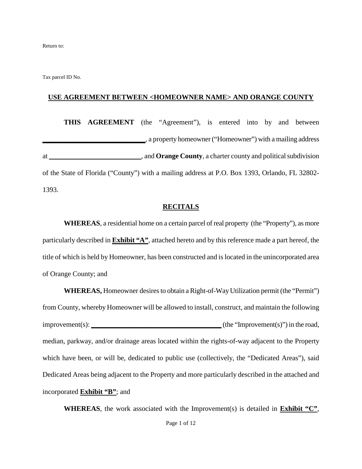Return to:

Tax parcel ID No.

#### **USE AGREEMENT BETWEEN <HOMEOWNER NAME> AND ORANGE COUNTY**

**THIS AGREEMENT** (the "Agreement"), is entered into by and between **\_\_\_\_\_\_\_\_\_\_\_\_\_\_\_\_\_\_\_\_\_\_\_\_\_\_\_\_\_**, a property homeowner ("Homeowner") with a mailing address at \_\_\_\_\_\_\_\_\_\_\_\_\_\_\_\_\_\_\_\_\_\_\_\_\_\_, and **Orange County**, a charter county and political subdivision of the State of Florida ("County") with a mailing address at P.O. Box 1393, Orlando, FL 32802- 1393.

#### **RECITALS**

**WHEREAS**, a residential home on a certain parcel of real property (the "Property"), as more particularly described in **Exhibit "A"**, attached hereto and by this reference made a part hereof, the title of which is held by Homeowner, has been constructed and is located in the unincorporated area of Orange County; and

**WHEREAS,** Homeowner desires to obtain a Right-of-Way Utilization permit (the "Permit") from County, whereby Homeowner will be allowed to install, construct, and maintain the following improvement(s): *\_\_\_\_\_\_\_\_\_\_\_\_\_\_\_\_\_\_\_\_\_\_\_\_\_\_\_\_\_\_\_\_\_\_\_* (the "Improvement(s)") in the road, median, parkway, and/or drainage areas located within the rights-of-way adjacent to the Property which have been, or will be, dedicated to public use (collectively, the "Dedicated Areas"), said Dedicated Areas being adjacent to the Property and more particularly described in the attached and incorporated **Exhibit "B"**; and

**WHEREAS**, the work associated with the Improvement(s) is detailed in **Exhibit "C"**,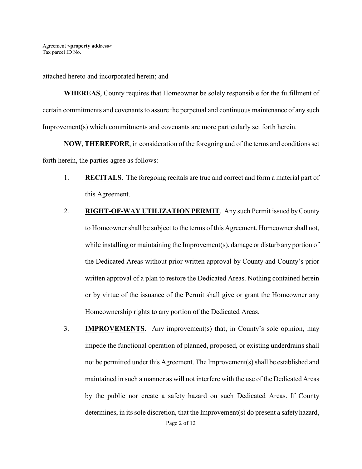attached hereto and incorporated herein; and

**WHEREAS**, County requires that Homeowner be solely responsible for the fulfillment of certain commitments and covenants to assure the perpetual and continuous maintenance of any such Improvement(s) which commitments and covenants are more particularly set forth herein.

**NOW**, **THEREFORE**, in consideration of the foregoing and of the terms and conditions set forth herein, the parties agree as follows:

- 1. **RECITALS**. The foregoing recitals are true and correct and form a material part of this Agreement.
- 2. **RIGHT-OF-WAY UTILIZATION PERMIT.** Any such Permit issued by County to Homeowner shall be subject to the terms of this Agreement. Homeownershall not, while installing or maintaining the Improvement(s), damage or disturb any portion of the Dedicated Areas without prior written approval by County and County's prior written approval of a plan to restore the Dedicated Areas. Nothing contained herein or by virtue of the issuance of the Permit shall give or grant the Homeowner any Homeownership rights to any portion of the Dedicated Areas.
- 3. **IMPROVEMENTS**. Any improvement(s) that, in County's sole opinion, may impede the functional operation of planned, proposed, or existing underdrains shall not be permitted under this Agreement. The Improvement(s) shall be established and maintained in such a manner as will not interfere with the use of the Dedicated Areas by the public nor create a safety hazard on such Dedicated Areas. If County determines, in its sole discretion, that the Improvement(s) do present a safety hazard,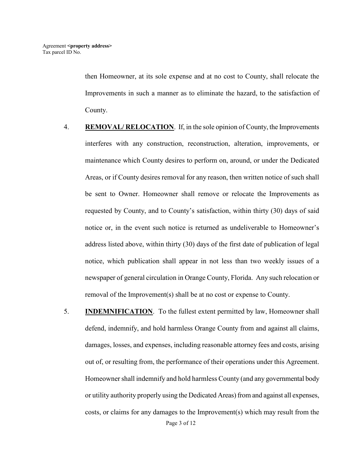then Homeowner, at its sole expense and at no cost to County, shall relocate the Improvements in such a manner as to eliminate the hazard, to the satisfaction of County.

- 4. **REMOVAL/ RELOCATION**. If, in the sole opinion of County, the Improvements interferes with any construction, reconstruction, alteration, improvements, or maintenance which County desires to perform on, around, or under the Dedicated Areas, or if County desires removal for any reason, then written notice of such shall be sent to Owner. Homeowner shall remove or relocate the Improvements as requested by County, and to County's satisfaction, within thirty (30) days of said notice or, in the event such notice is returned as undeliverable to Homeowner's address listed above, within thirty (30) days of the first date of publication of legal notice, which publication shall appear in not less than two weekly issues of a newspaper of general circulation in Orange County, Florida. Any such relocation or removal of the Improvement(s) shall be at no cost or expense to County.
- Page 3 of 12 5. **INDEMNIFICATION**. To the fullest extent permitted by law, Homeowner shall defend, indemnify, and hold harmless Orange County from and against all claims, damages, losses, and expenses, including reasonable attorney fees and costs, arising out of, or resulting from, the performance of their operations under this Agreement. Homeowner shall indemnify and hold harmless County (and any governmental body or utility authority properly using the Dedicated Areas) from and against all expenses, costs, or claims for any damages to the Improvement(s) which may result from the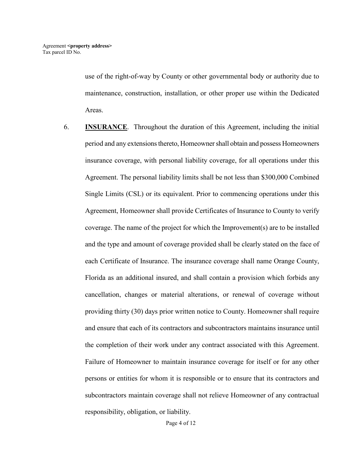use of the right-of-way by County or other governmental body or authority due to maintenance, construction, installation, or other proper use within the Dedicated Areas.

6. **INSURANCE**. Throughout the duration of this Agreement, including the initial period and any extensions thereto, Homeownershall obtain and possess Homeowners insurance coverage, with personal liability coverage, for all operations under this Agreement. The personal liability limits shall be not less than \$300,000 Combined Single Limits (CSL) or its equivalent. Prior to commencing operations under this Agreement, Homeowner shall provide Certificates of Insurance to County to verify coverage. The name of the project for which the Improvement(s) are to be installed and the type and amount of coverage provided shall be clearly stated on the face of each Certificate of Insurance. The insurance coverage shall name Orange County, Florida as an additional insured, and shall contain a provision which forbids any cancellation, changes or material alterations, or renewal of coverage without providing thirty (30) days prior written notice to County. Homeowner shall require and ensure that each of its contractors and subcontractors maintains insurance until the completion of their work under any contract associated with this Agreement. Failure of Homeowner to maintain insurance coverage for itself or for any other persons or entities for whom it is responsible or to ensure that its contractors and subcontractors maintain coverage shall not relieve Homeowner of any contractual responsibility, obligation, or liability.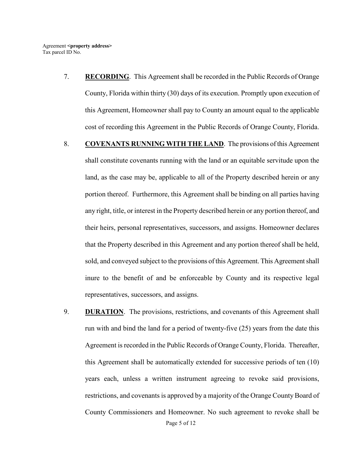- 7. **RECORDING**. This Agreement shall be recorded in the Public Records of Orange County, Florida within thirty (30) days of its execution. Promptly upon execution of this Agreement, Homeowner shall pay to County an amount equal to the applicable cost of recording this Agreement in the Public Records of Orange County, Florida.
- 8. **COVENANTS RUNNING WITH THE LAND**. The provisions of this Agreement shall constitute covenants running with the land or an equitable servitude upon the land, as the case may be, applicable to all of the Property described herein or any portion thereof. Furthermore, this Agreement shall be binding on all parties having any right, title, or interest in the Property described herein or any portion thereof, and their heirs, personal representatives, successors, and assigns. Homeowner declares that the Property described in this Agreement and any portion thereof shall be held, sold, and conveyed subject to the provisions of this Agreement. This Agreement shall inure to the benefit of and be enforceable by County and its respective legal representatives, successors, and assigns.
- Page 5 of 12 9. **DURATION**. The provisions, restrictions, and covenants of this Agreement shall run with and bind the land for a period of twenty-five (25) years from the date this Agreement is recorded in the Public Records of Orange County, Florida. Thereafter, this Agreement shall be automatically extended for successive periods of ten (10) years each, unless a written instrument agreeing to revoke said provisions, restrictions, and covenants is approved by a majority of the Orange County Board of County Commissioners and Homeowner. No such agreement to revoke shall be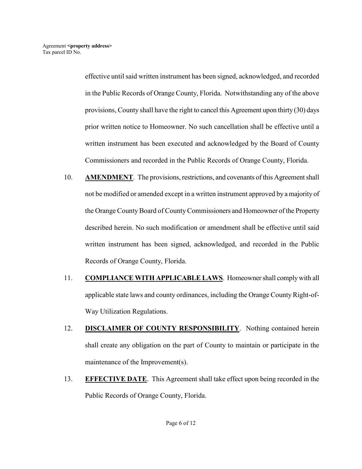effective until said written instrument has been signed, acknowledged, and recorded in the Public Records of Orange County, Florida. Notwithstanding any of the above provisions, County shall have the right to cancel this Agreement upon thirty (30) days prior written notice to Homeowner. No such cancellation shall be effective until a written instrument has been executed and acknowledged by the Board of County Commissioners and recorded in the Public Records of Orange County, Florida.

- 10. **AMENDMENT**. The provisions, restrictions, and covenants of this Agreement shall not be modified or amended except in a written instrument approved by a majority of the Orange County Board of County Commissioners and Homeowner of the Property described herein. No such modification or amendment shall be effective until said written instrument has been signed, acknowledged, and recorded in the Public Records of Orange County, Florida.
- 11. **COMPLIANCE WITH APPLICABLE LAWS**. Homeownershall comply with all applicable state laws and county ordinances, including the Orange County Right-of-Way Utilization Regulations.
- 12. **DISCLAIMER OF COUNTY RESPONSIBILITY**. Nothing contained herein shall create any obligation on the part of County to maintain or participate in the maintenance of the Improvement(s).
- 13. **EFFECTIVE DATE**. This Agreement shall take effect upon being recorded in the Public Records of Orange County, Florida.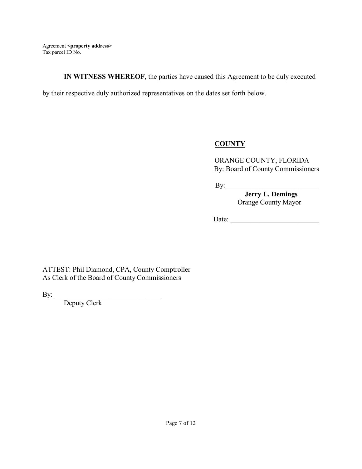**IN WITNESS WHEREOF**, the parties have caused this Agreement to be duly executed

by their respective duly authorized representatives on the dates set forth below.

# **COUNTY**

ORANGE COUNTY, FLORIDA By: Board of County Commissioners

By: \_\_\_\_\_\_\_\_\_\_\_\_\_\_\_\_\_\_\_\_\_\_\_\_\_\_

 **Jerry L. Demings** Orange County Mayor

Date: \_\_\_\_\_\_\_\_\_\_\_\_\_\_\_\_\_\_\_\_\_\_\_\_\_

ATTEST: Phil Diamond, CPA, County Comptroller As Clerk of the Board of County Commissioners

By:

\_\_\_\_\_\_\_\_\_\_\_\_\_\_\_\_\_\_\_\_\_\_\_\_\_\_\_\_\_\_ Deputy Clerk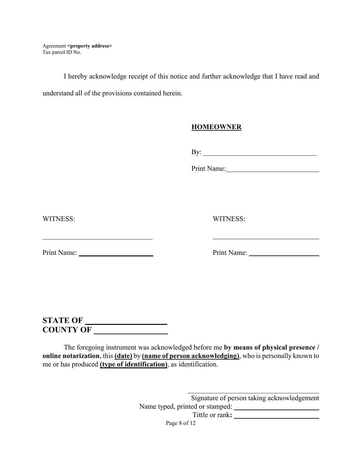I hereby acknowledge receipt of this notice and further acknowledge that I have read and understand all of the provisions contained herein.

## **HOMEOWNER**

By: \_\_\_\_\_\_\_\_\_\_\_\_\_\_\_\_\_\_\_\_\_\_\_\_\_\_\_\_\_\_\_\_

Print Name:

WITNESS: WITNESS:

Print Name: \_\_\_\_\_\_\_\_\_\_\_\_\_\_\_\_\_\_\_\_\_ Print Name:

**STATE OF \_\_\_\_\_\_\_\_\_\_\_\_\_\_\_\_\_\_\_\_ COUNTY OF \_\_\_\_\_\_\_\_\_\_\_\_\_\_\_\_\_\_** 

The foregoing instrument was acknowledged before me **by means of physical presence / online notarization**, this **(date)** by **(name of person acknowledging)**, who is personally known to me or has produced **(type of identification)**, as identification.

> \_\_\_\_\_\_\_\_\_\_\_\_\_\_\_\_\_\_\_\_\_\_\_\_\_\_\_\_\_\_\_\_\_\_\_\_\_ Signature of person taking acknowledgement Name typed, printed or stamped: **\_\_\_\_\_\_\_\_\_\_\_\_\_\_\_\_\_\_\_\_\_**

Tittle or rank**: \_\_\_\_\_\_\_\_\_\_\_\_\_\_\_\_\_\_\_\_\_\_\_\_** 

Page 8 of 12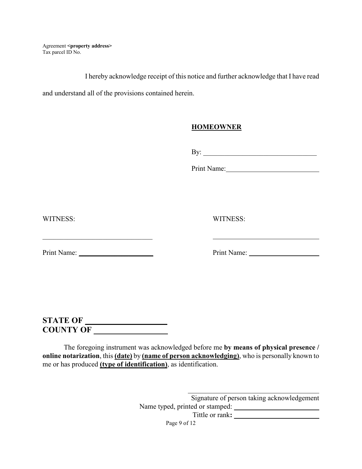I hereby acknowledge receipt of this notice and further acknowledge that I have read

and understand all of the provisions contained herein.

### **HOMEOWNER**

By: \_\_\_\_\_\_\_\_\_\_\_\_\_\_\_\_\_\_\_\_\_\_\_\_\_\_\_\_\_\_\_\_

Print Name:

WITNESS: WITNESS:

Print Name: \_\_\_\_\_\_\_\_\_\_\_\_\_\_\_\_\_\_\_\_\_ Print Name:

**STATE OF \_\_\_\_\_\_\_\_\_\_\_\_\_\_\_\_\_\_\_\_ COUNTY OF \_\_\_\_\_\_\_\_\_\_\_\_\_\_\_\_\_\_** 

The foregoing instrument was acknowledged before me **by means of physical presence / online notarization**, this **(date)** by **(name of person acknowledging)**, who is personally known to me or has produced **(type of identification)**, as identification.

> \_\_\_\_\_\_\_\_\_\_\_\_\_\_\_\_\_\_\_\_\_\_\_\_\_\_\_\_\_\_\_\_\_\_\_\_\_ Signature of person taking acknowledgement Name typed, printed or stamped: **\_\_\_\_\_\_\_\_\_\_\_\_\_\_\_\_\_\_\_\_\_\_\_\_**

Tittle or rank**: \_\_\_\_\_\_\_\_\_\_\_\_\_\_\_\_\_\_\_\_\_\_\_\_**

Page 9 of 12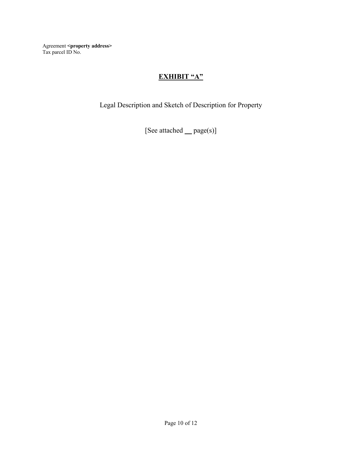# **EXHIBIT "A"**

Legal Description and Sketch of Description for Property

[See attached **\_\_** page(s)]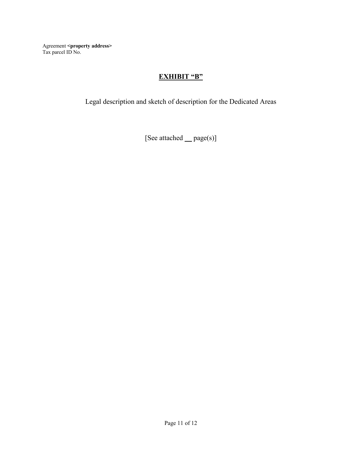# **EXHIBIT "B"**

Legal description and sketch of description for the Dedicated Areas

[See attached **\_\_** page(s)]